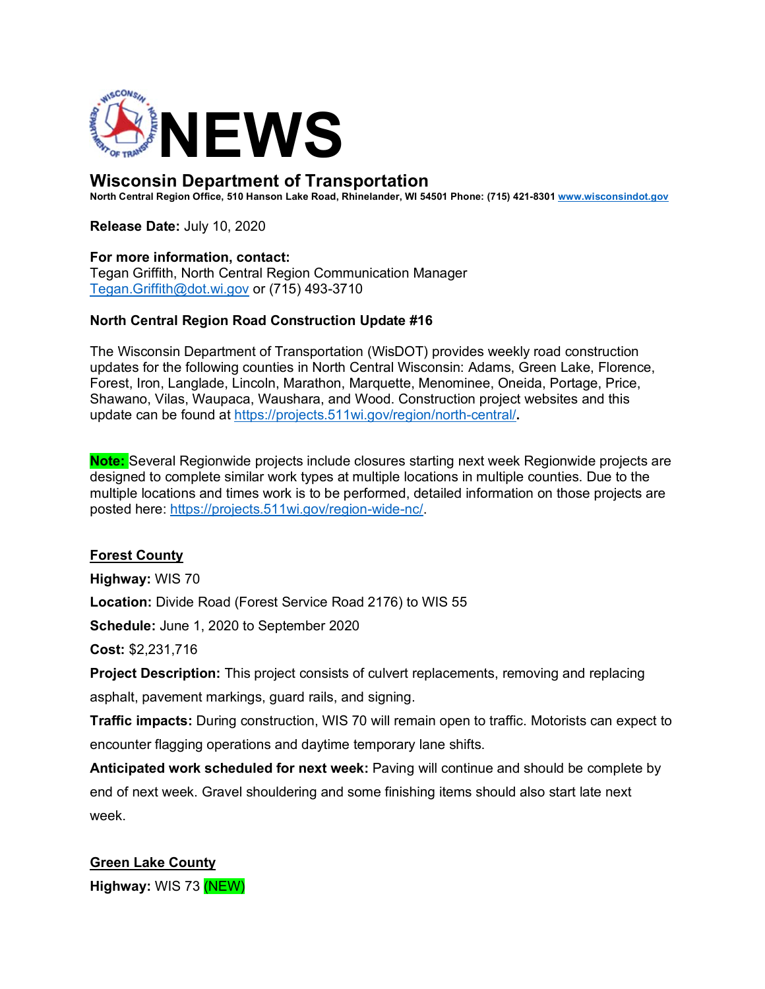

# **Wisconsin Department of Transportation**

**North Central Region Office, 510 Hanson Lake Road, Rhinelander, WI 54501 Phone: (715) 421-8301 www.wisconsindot.gov**

**Release Date:** July 10, 2020

#### **For more information, contact:**

Tegan Griffith, North Central Region Communication Manager Tegan.Griffith@dot.wi.gov or (715) 493-3710

#### **North Central Region Road Construction Update #16**

The Wisconsin Department of Transportation (WisDOT) provides weekly road construction updates for the following counties in North Central Wisconsin: Adams, Green Lake, Florence, Forest, Iron, Langlade, Lincoln, Marathon, Marquette, Menominee, Oneida, Portage, Price, Shawano, Vilas, Waupaca, Waushara, and Wood. Construction project websites and this update can be found at https://projects.511wi.gov/region/north-central/**.** 

**Note:** Several Regionwide projects include closures starting next week Regionwide projects are designed to complete similar work types at multiple locations in multiple counties. Due to the multiple locations and times work is to be performed, detailed information on those projects are posted here: https://projects.511wi.gov/region-wide-nc/.

### **Forest County**

**Highway:** WIS 70

**Location:** Divide Road (Forest Service Road 2176) to WIS 55

**Schedule:** June 1, 2020 to September 2020

**Cost:** \$2,231,716

**Project Description:** This project consists of culvert replacements, removing and replacing asphalt, pavement markings, guard rails, and signing.

**Traffic impacts:** During construction, WIS 70 will remain open to traffic. Motorists can expect to encounter flagging operations and daytime temporary lane shifts.

**Anticipated work scheduled for next week:** Paving will continue and should be complete by end of next week. Gravel shouldering and some finishing items should also start late next week.

**Green Lake County Highway:** WIS 73 (NEW)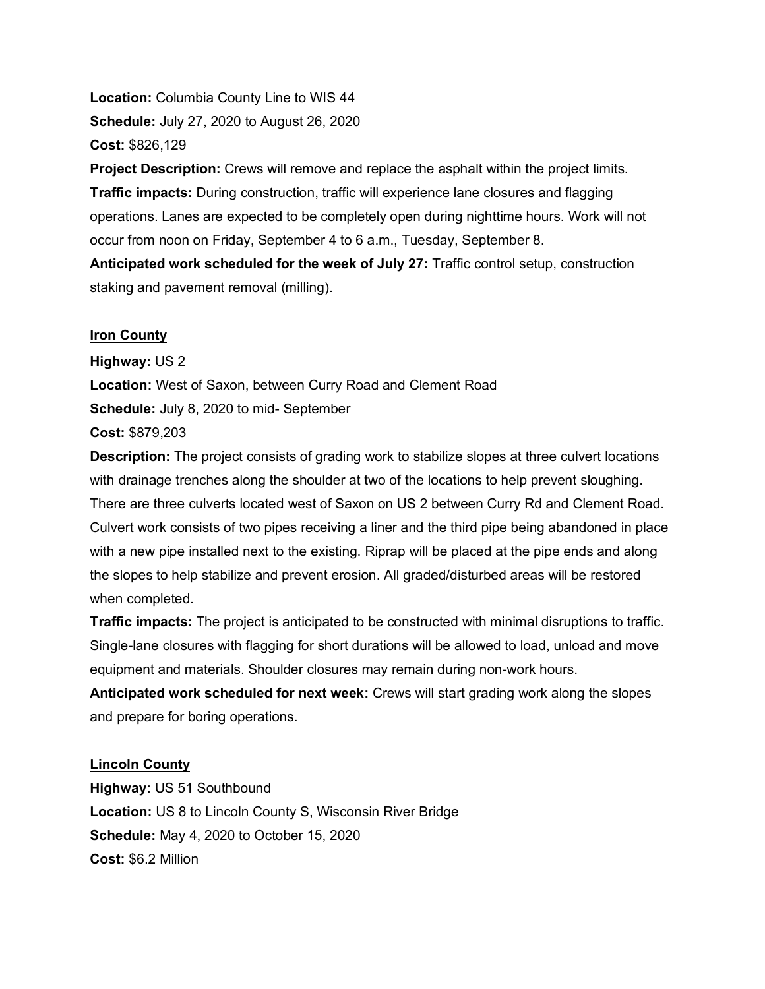**Location:** Columbia County Line to WIS 44 **Schedule:** July 27, 2020 to August 26, 2020 **Cost:** \$826,129

**Project Description:** Crews will remove and replace the asphalt within the project limits. **Traffic impacts:** During construction, traffic will experience lane closures and flagging operations. Lanes are expected to be completely open during nighttime hours. Work will not occur from noon on Friday, September 4 to 6 a.m., Tuesday, September 8.

**Anticipated work scheduled for the week of July 27:** Traffic control setup, construction staking and pavement removal (milling).

#### **Iron County**

**Highway:** US 2

**Location:** West of Saxon, between Curry Road and Clement Road

**Schedule:** July 8, 2020 to mid- September

**Cost:** \$879,203

**Description:** The project consists of grading work to stabilize slopes at three culvert locations with drainage trenches along the shoulder at two of the locations to help prevent sloughing. There are three culverts located west of Saxon on US 2 between Curry Rd and Clement Road. Culvert work consists of two pipes receiving a liner and the third pipe being abandoned in place with a new pipe installed next to the existing. Riprap will be placed at the pipe ends and along the slopes to help stabilize and prevent erosion. All graded/disturbed areas will be restored when completed.

**Traffic impacts:** The project is anticipated to be constructed with minimal disruptions to traffic. Single-lane closures with flagging for short durations will be allowed to load, unload and move equipment and materials. Shoulder closures may remain during non-work hours.

**Anticipated work scheduled for next week:** Crews will start grading work along the slopes and prepare for boring operations.

### **Lincoln County**

**Highway:** US 51 Southbound **Location:** US 8 to Lincoln County S, Wisconsin River Bridge **Schedule:** May 4, 2020 to October 15, 2020 **Cost:** \$6.2 Million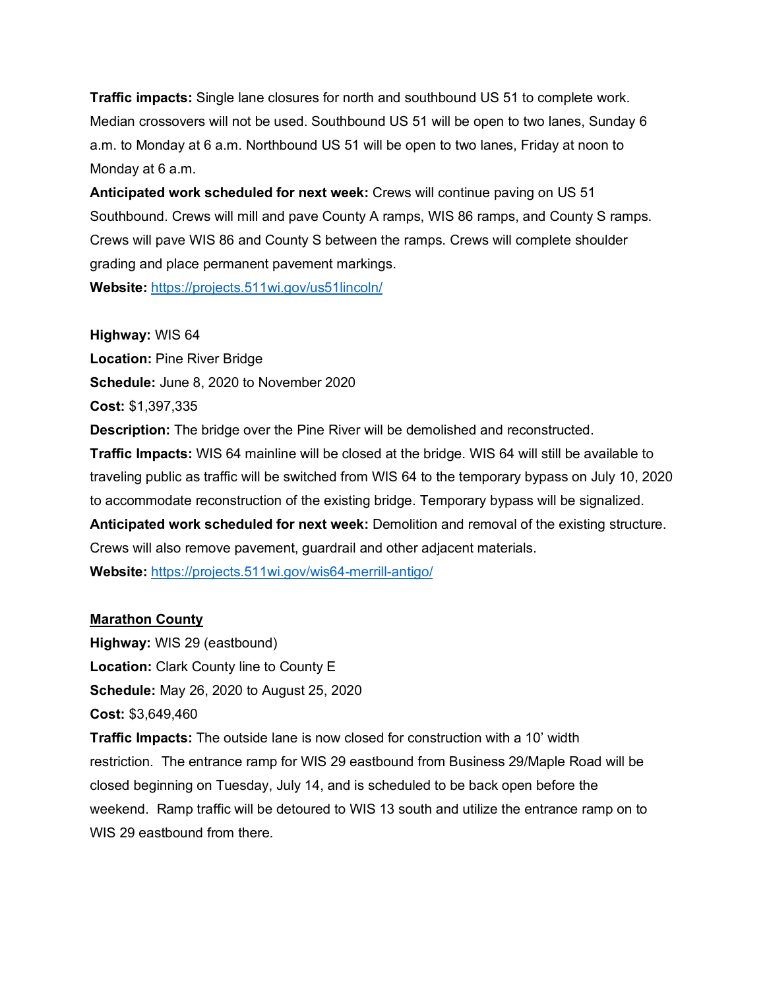**Traffic impacts:** Single lane closures for north and southbound US 51 to complete work. Median crossovers will not be used. Southbound US 51 will be open to two lanes, Sunday 6 a.m. to Monday at 6 a.m. Northbound US 51 will be open to two lanes, Friday at noon to Monday at 6 a.m.

**Anticipated work scheduled for next week:** Crews will continue paving on US 51 Southbound. Crews will mill and pave County A ramps, WIS 86 ramps, and County S ramps. Crews will pave WIS 86 and County S between the ramps. Crews will complete shoulder grading and place permanent pavement markings. **Website:** https://projects.511wi.gov/us51lincoln/

**Highway:** WIS 64 **Location:** Pine River Bridge **Schedule:** June 8, 2020 to November 2020 **Cost:** \$1,397,335 **Description:** The bridge over the Pine River will be demolished and reconstructed. **Traffic Impacts:** WIS 64 mainline will be closed at the bridge. WIS 64 will still be available to traveling public as traffic will be switched from WIS 64 to the temporary bypass on July 10, 2020 to accommodate reconstruction of the existing bridge. Temporary bypass will be signalized. **Anticipated work scheduled for next week:** Demolition and removal of the existing structure. Crews will also remove pavement, guardrail and other adjacent materials.

**Website:** https://projects.511wi.gov/wis64-merrill-antigo/

# **Marathon County**

**Highway:** WIS 29 (eastbound) **Location:** Clark County line to County E **Schedule:** May 26, 2020 to August 25, 2020 **Cost:** \$3,649,460

**Traffic Impacts:** The outside lane is now closed for construction with a 10' width restriction. The entrance ramp for WIS 29 eastbound from Business 29/Maple Road will be closed beginning on Tuesday, July 14, and is scheduled to be back open before the weekend. Ramp traffic will be detoured to WIS 13 south and utilize the entrance ramp on to WIS 29 eastbound from there.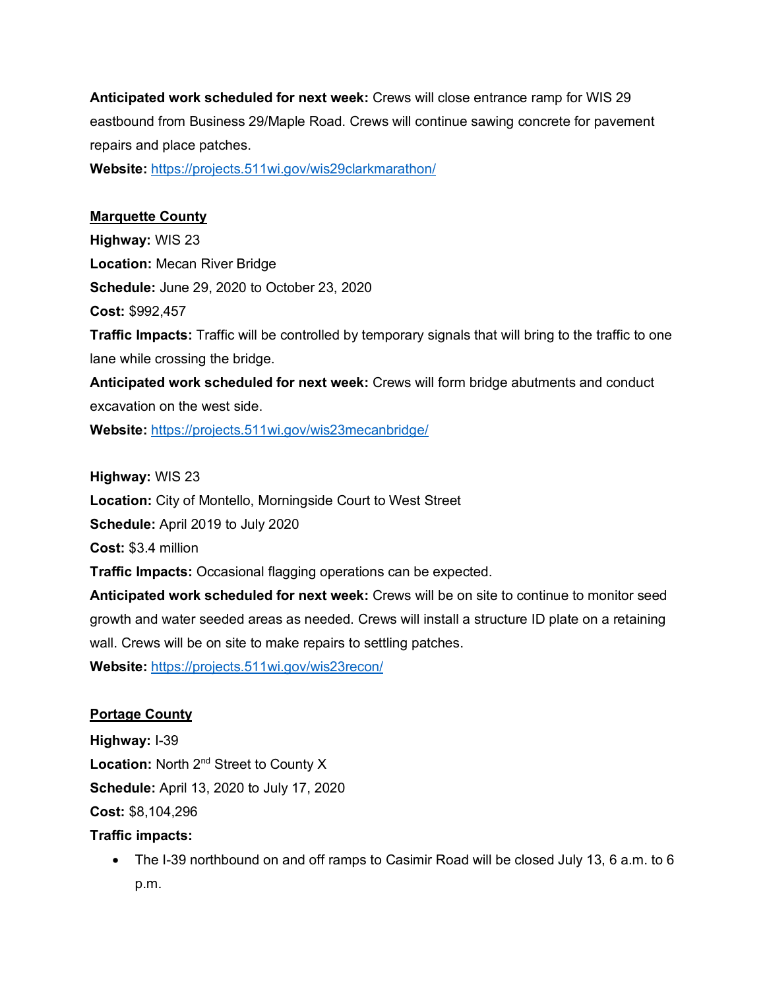**Anticipated work scheduled for next week:** Crews will close entrance ramp for WIS 29 eastbound from Business 29/Maple Road. Crews will continue sawing concrete for pavement repairs and place patches.

**Website:** https://projects.511wi.gov/wis29clarkmarathon/

### **Marquette County**

**Highway:** WIS 23 **Location:** Mecan River Bridge **Schedule:** June 29, 2020 to October 23, 2020 **Cost:** \$992,457 **Traffic Impacts:** Traffic will be controlled by temporary signals that will bring to the traffic to one lane while crossing the bridge. **Anticipated work scheduled for next week:** Crews will form bridge abutments and conduct

excavation on the west side.

**Website:** https://projects.511wi.gov/wis23mecanbridge/

**Highway:** WIS 23

**Location:** City of Montello, Morningside Court to West Street

**Schedule:** April 2019 to July 2020

**Cost:** \$3.4 million

**Traffic Impacts:** Occasional flagging operations can be expected.

**Anticipated work scheduled for next week:** Crews will be on site to continue to monitor seed growth and water seeded areas as needed. Crews will install a structure ID plate on a retaining wall. Crews will be on site to make repairs to settling patches.

**Website:** https://projects.511wi.gov/wis23recon/

# **Portage County**

**Highway:** I-39 Location: North 2<sup>nd</sup> Street to County X **Schedule:** April 13, 2020 to July 17, 2020 **Cost:** \$8,104,296

# **Traffic impacts:**

• The I-39 northbound on and off ramps to Casimir Road will be closed July 13, 6 a.m. to 6 p.m.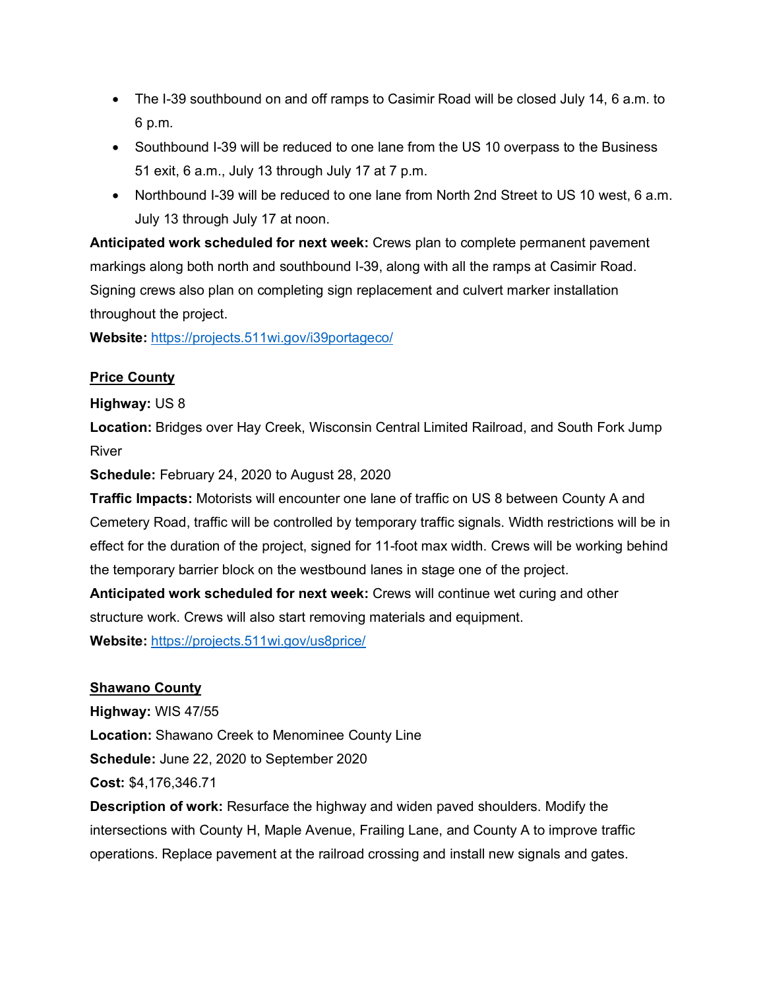- The I-39 southbound on and off ramps to Casimir Road will be closed July 14, 6 a.m. to 6 p.m.
- Southbound I-39 will be reduced to one lane from the US 10 overpass to the Business 51 exit, 6 a.m., July 13 through July 17 at 7 p.m.
- Northbound I-39 will be reduced to one lane from North 2nd Street to US 10 west, 6 a.m. July 13 through July 17 at noon.

**Anticipated work scheduled for next week:** Crews plan to complete permanent pavement markings along both north and southbound I-39, along with all the ramps at Casimir Road. Signing crews also plan on completing sign replacement and culvert marker installation throughout the project.

**Website:** https://projects.511wi.gov/i39portageco/

### **Price County**

### **Highway:** US 8

**Location:** Bridges over Hay Creek, Wisconsin Central Limited Railroad, and South Fork Jump River

**Schedule:** February 24, 2020 to August 28, 2020

**Traffic Impacts:** Motorists will encounter one lane of traffic on US 8 between County A and Cemetery Road, traffic will be controlled by temporary traffic signals. Width restrictions will be in effect for the duration of the project, signed for 11-foot max width. Crews will be working behind the temporary barrier block on the westbound lanes in stage one of the project.

**Anticipated work scheduled for next week:** Crews will continue wet curing and other structure work. Crews will also start removing materials and equipment. **Website:** https://projects.511wi.gov/us8price/

### **Shawano County**

**Highway:** WIS 47/55 **Location:** Shawano Creek to Menominee County Line **Schedule:** June 22, 2020 to September 2020 **Cost:** \$4,176,346.71

**Description of work:** Resurface the highway and widen paved shoulders. Modify the intersections with County H, Maple Avenue, Frailing Lane, and County A to improve traffic operations. Replace pavement at the railroad crossing and install new signals and gates.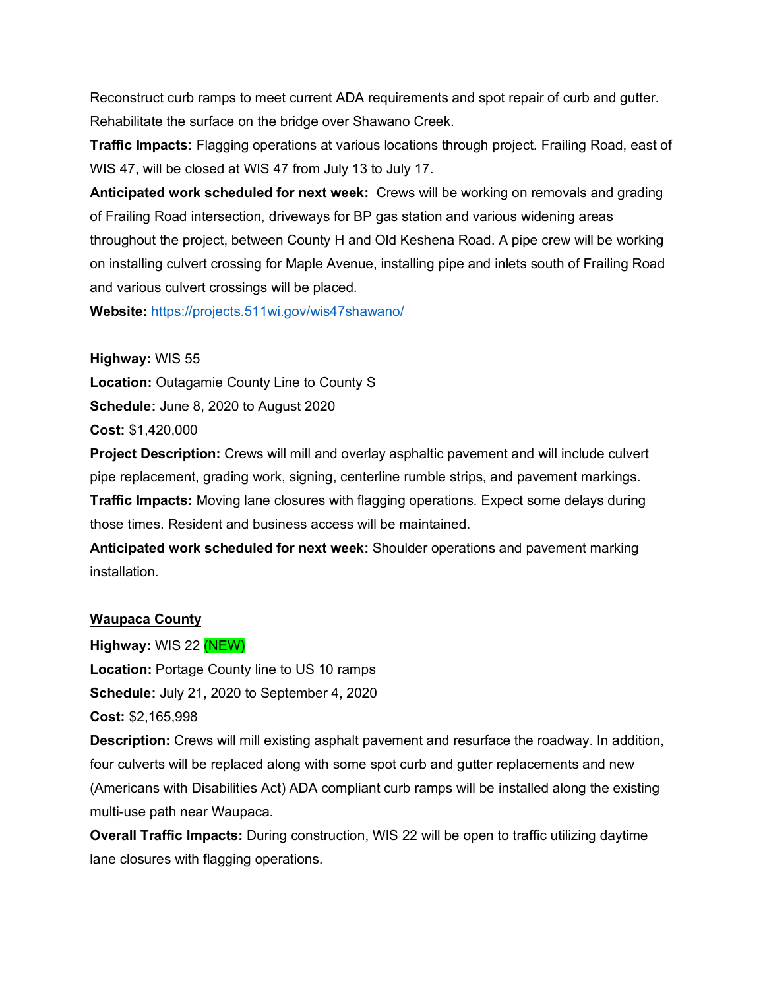Reconstruct curb ramps to meet current ADA requirements and spot repair of curb and gutter. Rehabilitate the surface on the bridge over Shawano Creek.

**Traffic Impacts:** Flagging operations at various locations through project. Frailing Road, east of WIS 47, will be closed at WIS 47 from July 13 to July 17.

**Anticipated work scheduled for next week:** Crews will be working on removals and grading of Frailing Road intersection, driveways for BP gas station and various widening areas throughout the project, between County H and Old Keshena Road. A pipe crew will be working on installing culvert crossing for Maple Avenue, installing pipe and inlets south of Frailing Road and various culvert crossings will be placed.

**Website:** https://projects.511wi.gov/wis47shawano/

**Highway:** WIS 55 **Location:** Outagamie County Line to County S **Schedule:** June 8, 2020 to August 2020 **Cost:** \$1,420,000

**Project Description:** Crews will mill and overlay asphaltic pavement and will include culvert pipe replacement, grading work, signing, centerline rumble strips, and pavement markings. **Traffic Impacts:** Moving lane closures with flagging operations. Expect some delays during those times. Resident and business access will be maintained.

**Anticipated work scheduled for next week:** Shoulder operations and pavement marking installation.

### **Waupaca County**

**Highway:** WIS 22 (NEW) **Location:** Portage County line to US 10 ramps **Schedule:** July 21, 2020 to September 4, 2020 **Cost:** \$2,165,998

**Description:** Crews will mill existing asphalt pavement and resurface the roadway. In addition, four culverts will be replaced along with some spot curb and gutter replacements and new (Americans with Disabilities Act) ADA compliant curb ramps will be installed along the existing multi-use path near Waupaca.

**Overall Traffic Impacts:** During construction, WIS 22 will be open to traffic utilizing daytime lane closures with flagging operations.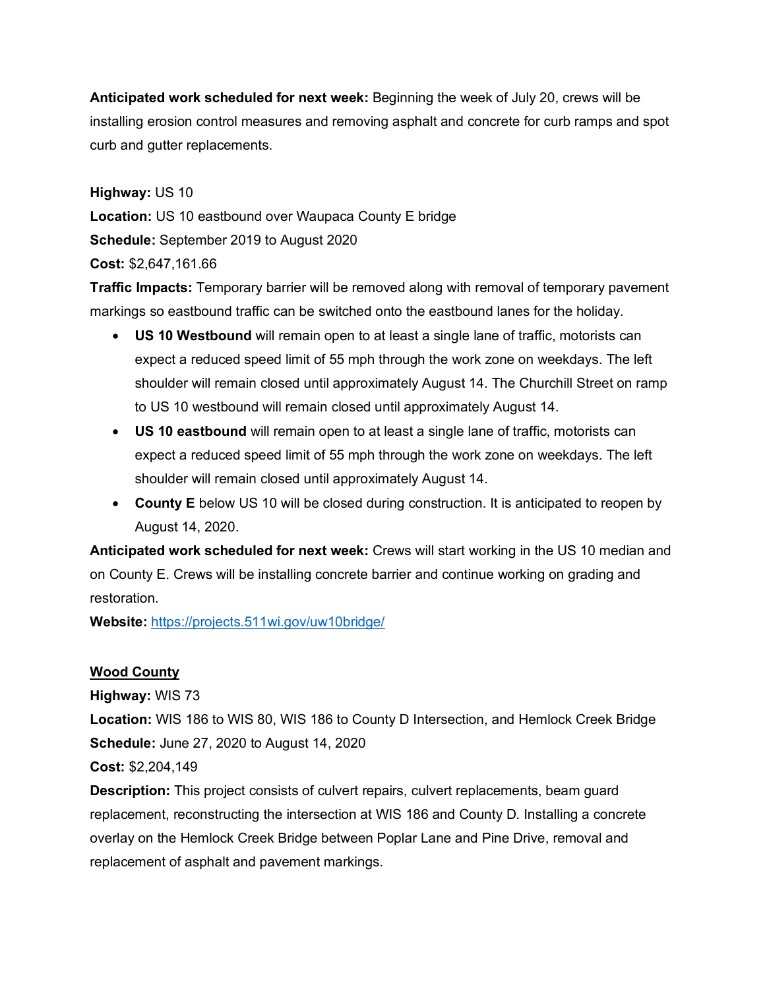**Anticipated work scheduled for next week:** Beginning the week of July 20, crews will be installing erosion control measures and removing asphalt and concrete for curb ramps and spot curb and gutter replacements.

**Highway:** US 10

**Location:** US 10 eastbound over Waupaca County E bridge

**Schedule:** September 2019 to August 2020

**Cost:** \$2,647,161.66

**Traffic Impacts:** Temporary barrier will be removed along with removal of temporary pavement markings so eastbound traffic can be switched onto the eastbound lanes for the holiday.

- **US 10 Westbound** will remain open to at least a single lane of traffic, motorists can expect a reduced speed limit of 55 mph through the work zone on weekdays. The left shoulder will remain closed until approximately August 14. The Churchill Street on ramp to US 10 westbound will remain closed until approximately August 14.
- **US 10 eastbound** will remain open to at least a single lane of traffic, motorists can expect a reduced speed limit of 55 mph through the work zone on weekdays. The left shoulder will remain closed until approximately August 14.
- **County E** below US 10 will be closed during construction. It is anticipated to reopen by August 14, 2020.

**Anticipated work scheduled for next week:** Crews will start working in the US 10 median and on County E. Crews will be installing concrete barrier and continue working on grading and restoration.

**Website:** https://projects.511wi.gov/uw10bridge/

# **Wood County**

**Highway:** WIS 73

**Location:** WIS 186 to WIS 80, WIS 186 to County D Intersection, and Hemlock Creek Bridge **Schedule:** June 27, 2020 to August 14, 2020

**Cost:** \$2,204,149

**Description:** This project consists of culvert repairs, culvert replacements, beam guard replacement, reconstructing the intersection at WIS 186 and County D. Installing a concrete overlay on the Hemlock Creek Bridge between Poplar Lane and Pine Drive, removal and replacement of asphalt and pavement markings.